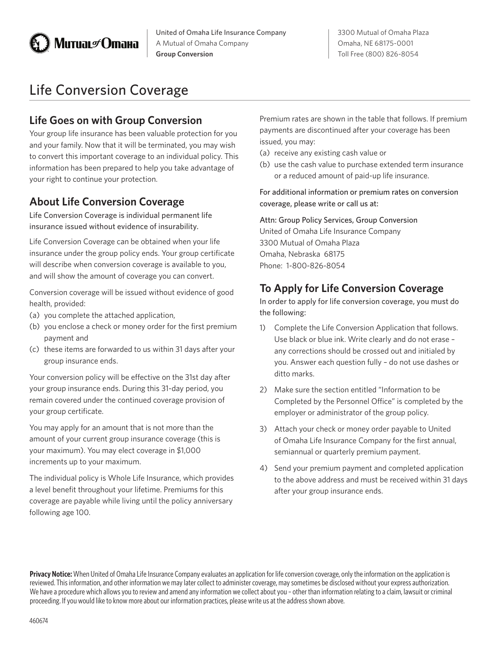

United of Omaha Life Insurance Company A Mutual of Omaha Company **Group Conversion**

# Life Conversion Coverage

## **Life Goes on with Group Conversion**

Your group life insurance has been valuable protection for you and your family. Now that it will be terminated, you may wish to convert this important coverage to an individual policy. This information has been prepared to help you take advantage of your right to continue your protection.

#### **About Life Conversion Coverage**

Life Conversion Coverage is individual permanent life insurance issued without evidence of insurability.

Life Conversion Coverage can be obtained when your life insurance under the group policy ends. Your group certificate will describe when conversion coverage is available to you, and will show the amount of coverage you can convert.

Conversion coverage will be issued without evidence of good health, provided:

- (a) you complete the attached application,
- (b) you enclose a check or money order for the first premium payment and
- (c) these items are forwarded to us within 31 days after your group insurance ends.

Your conversion policy will be effective on the 31st day after your group insurance ends. During this 31-day period, you remain covered under the continued coverage provision of your group certificate.

You may apply for an amount that is not more than the amount of your current group insurance coverage (this is your maximum). You may elect coverage in \$1,000 increments up to your maximum.

The individual policy is Whole Life Insurance, which provides a level benefit throughout your lifetime. Premiums for this coverage are payable while living until the policy anniversary following age 100.

Premium rates are shown in the table that follows. If premium payments are discontinued after your coverage has been issued, you may:

- (a) receive any existing cash value or
- (b) use the cash value to purchase extended term insurance or a reduced amount of paid-up life insurance.

For additional information or premium rates on conversion coverage, please write or call us at:

Attn: Group Policy Services, Group Conversion United of Omaha Life Insurance Company 3300 Mutual of Omaha Plaza Omaha, Nebraska 68175 Phone: 1-800-826-8054

## **To Apply for Life Conversion Coverage**

In order to apply for life conversion coverage, you must do the following:

- 1) Complete the Life Conversion Application that follows. Use black or blue ink. Write clearly and do not erase – any corrections should be crossed out and initialed by you. Answer each question fully – do not use dashes or ditto marks.
- 2) Make sure the section entitled "Information to be Completed by the Personnel Office" is completed by the employer or administrator of the group policy.
- 3) Attach your check or money order payable to United of Omaha Life Insurance Company for the first annual, semiannual or quarterly premium payment.
- 4) Send your premium payment and completed application to the above address and must be received within 31 days after your group insurance ends.

**Privacy Notice:** When United of Omaha Life Insurance Company evaluates an application for life conversion coverage, only the information on the application is reviewed. This information, and other information we may later collect to administer coverage, may sometimes be disclosed without your express authorization. We have a procedure which allows you to review and amend any information we collect about you – other than information relating to a claim, lawsuit or criminal proceeding. If you would like to know more about our information practices, please write us at the address shown above.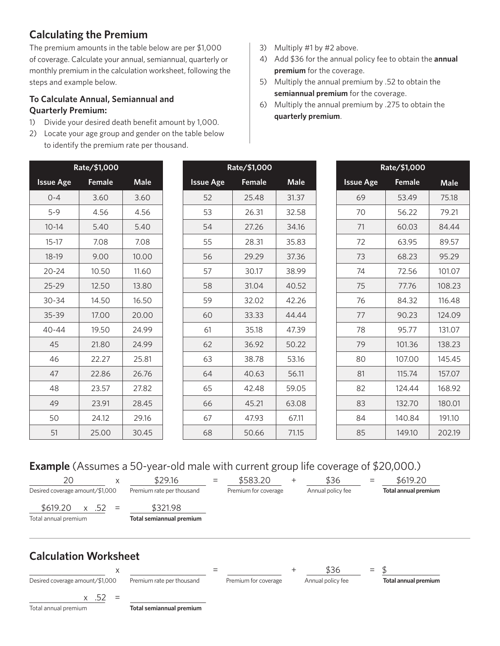## **Calculating the Premium**

The premium amounts in the table below are per \$1,000 of coverage. Calculate your annual, semiannual, quarterly or monthly premium in the calculation worksheet, following the steps and example below.

#### **To Calculate Annual, Semiannual and Quarterly Premium:**

- 1) Divide your desired death benefit amount by 1,000.
- 2) Locate your age group and gender on the table below to identify the premium rate per thousand.
- 3) Multiply #1 by #2 above.
- 4) Add \$36 for the annual policy fee to obtain the **annual premium** for the coverage.
- 5) Multiply the annual premium by .52 to obtain the **semiannual premium** for the coverage.
- 6) Multiply the annual premium by .275 to obtain the **quarterly premium**.

| Rate/\$1,000     |        |             | Rate/\$1,000     |        |             | Rate/\$1,000     |        |        |
|------------------|--------|-------------|------------------|--------|-------------|------------------|--------|--------|
| <b>Issue Age</b> | Female | <b>Male</b> | <b>Issue Age</b> | Female | <b>Male</b> | <b>Issue Age</b> | Female | Male   |
| $0 - 4$          | 3.60   | 3.60        | 52               | 25.48  | 31.37       | 69               | 53.49  | 75.18  |
| $5 - 9$          | 4.56   | 4.56        | 53               | 26.31  | 32.58       | 70               | 56.22  | 79.21  |
| $10 - 14$        | 5.40   | 5.40        | 54               | 27.26  | 34.16       | 71               | 60.03  | 84.44  |
| $15-17$          | 7.08   | 7.08        | 55               | 28.31  | 35.83       | 72               | 63.95  | 89.57  |
| 18-19            | 9.00   | 10.00       | 56               | 29.29  | 37.36       | 73               | 68.23  | 95.29  |
| $20 - 24$        | 10.50  | 11.60       | 57               | 30.17  | 38.99       | 74               | 72.56  | 101.07 |
| 25-29            | 12.50  | 13.80       | 58               | 31.04  | 40.52       | 75               | 77.76  | 108.23 |
| $30 - 34$        | 14.50  | 16.50       | 59               | 32.02  | 42.26       | 76               | 84.32  | 116.48 |
| 35-39            | 17.00  | 20.00       | 60               | 33.33  | 44.44       | 77               | 90.23  | 124.09 |
| $40 - 44$        | 19.50  | 24.99       | 61               | 35.18  | 47.39       | 78               | 95.77  | 131.07 |
| 45               | 21.80  | 24.99       | 62               | 36.92  | 50.22       | 79               | 101.36 | 138.23 |
| 46               | 22.27  | 25.81       | 63               | 38.78  | 53.16       | 80               | 107.00 | 145.45 |
| 47               | 22.86  | 26.76       | 64               | 40.63  | 56.11       | 81               | 115.74 | 157.07 |
| 48               | 23.57  | 27.82       | 65               | 42.48  | 59.05       | 82               | 124.44 | 168.92 |
| 49               | 23.91  | 28.45       | 66               | 45.21  | 63.08       | 83               | 132.70 | 180.01 |
| 50               | 24.12  | 29.16       | 67               | 47.93  | 67.11       | 84               | 140.84 | 191.10 |
| 51               | 25.00  | 30.45       | 68               | 50.66  | 71.15       | 85               | 149.10 | 202.19 |

## **Example** (Assumes a 50-year-old male with current group life coverage of \$20,000.)



 $x \quad .52 =$ 

Total annual premium **Total semiannual premium**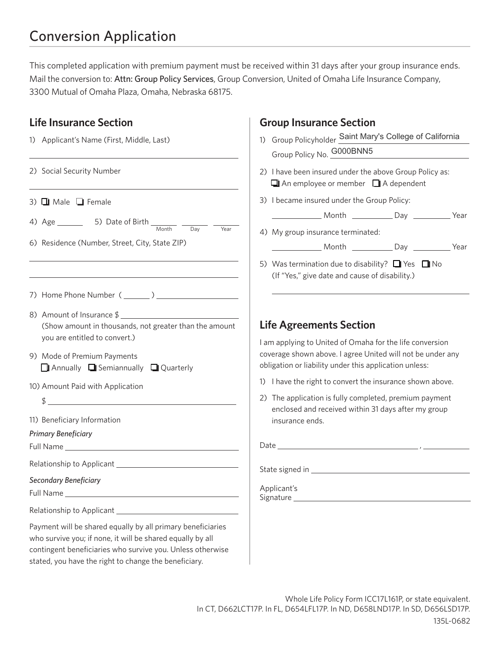## Conversion Application

This completed application with premium payment must be received within 31 days after your group insurance ends. Mail the conversion to: Attn: Group Policy Services, Group Conversion, United of Omaha Life Insurance Company, 3300 Mutual of Omaha Plaza, Omaha, Nebraska 68175.

#### **Life Insurance Section**

| 1) Applicant's Name (First, Middle, Last)                                                                                                                                                                                                        |                           |  |  |
|--------------------------------------------------------------------------------------------------------------------------------------------------------------------------------------------------------------------------------------------------|---------------------------|--|--|
| 2) Social Security Number                                                                                                                                                                                                                        | G<br>$2)$   $\vdash$<br>□ |  |  |
| 3) $\Box$ Male $\Box$ Female                                                                                                                                                                                                                     | 3) I t                    |  |  |
| Year                                                                                                                                                                                                                                             |                           |  |  |
| 6) Residence (Number, Street, City, State ZIP)                                                                                                                                                                                                   | 4) M                      |  |  |
|                                                                                                                                                                                                                                                  | 5) W<br>$\left( \right $  |  |  |
|                                                                                                                                                                                                                                                  |                           |  |  |
| 8) Amount of Insurance \$<br>(Show amount in thousands, not greater than the amount<br>you are entitled to convert.)                                                                                                                             | Life<br>l am a            |  |  |
| 9) Mode of Premium Payments<br>$\Box$ Annually $\Box$ Semiannually $\Box$ Quarterly                                                                                                                                                              | cover<br>obliga           |  |  |
| 10) Amount Paid with Application                                                                                                                                                                                                                 | $1)$   $\uparrow$         |  |  |
| $\updownarrow$                                                                                                                                                                                                                                   | $2)$ T                    |  |  |
| 11) Beneficiary Information                                                                                                                                                                                                                      | er<br>ın                  |  |  |
| <b>Primary Beneficiary</b>                                                                                                                                                                                                                       |                           |  |  |
|                                                                                                                                                                                                                                                  | Date                      |  |  |
|                                                                                                                                                                                                                                                  | State                     |  |  |
| Secondary Beneficiary                                                                                                                                                                                                                            | Appli<br>Signa            |  |  |
| Relationship to Applicant ___                                                                                                                                                                                                                    |                           |  |  |
| Payment will be shared equally by all primary beneficiaries<br>who survive you; if none, it will be shared equally by all<br>contingent beneficiaries who survive you. Unless otherwise<br>stated, you have the right to change the beneficiary. |                           |  |  |

#### **Group Insurance Section**

- 1) Group Policyholder Saint Mary's College of California Group Policy No. **G000BNN5**
- have been insured under the above Group Policy as:  $\Box$  An employee or member  $\Box$  A dependent
- became insured under the Group Policy:

| Month | Jav |  |
|-------|-----|--|
|       |     |  |

4) My group insurance terminated:

Month Day Day Year

Vas termination due to disability?  $\Box$  Yes  $\Box$  No If "Yes," give date and cause of disability.)

#### **Agreements Section**

applying to United of Omaha for the life conversion rage shown above. I agree United will not be under any ation or liability under this application unless:

- have the right to convert the insurance shown above.
- he application is fully completed, premium payment nclosed and received within 31 days after my group isurance ends.

 $sigma$  in  $\frac{1}{2}$  is signed in  $\frac{1}{2}$  is signed in  $\frac{1}{2}$  is signed in  $\frac{1}{2}$  is signed in  $\frac{1}{2}$ 

icant's iture \_\_